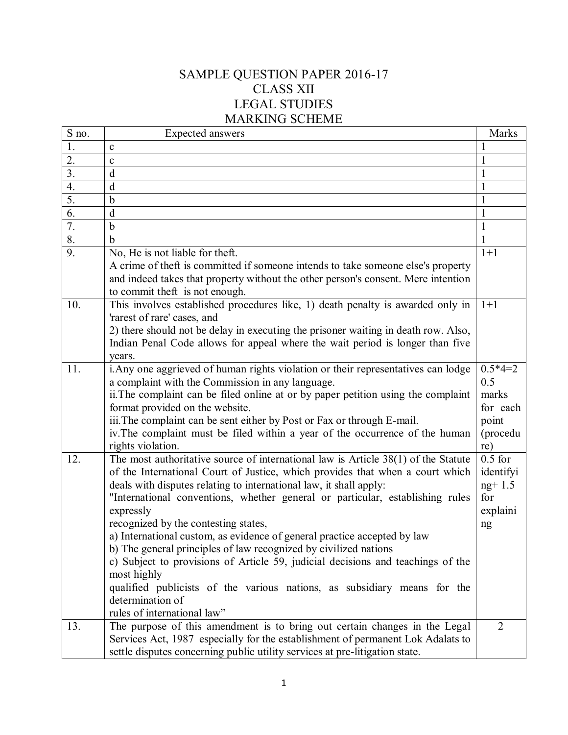## SAMPLE QUESTION PAPER 2016-17 CLASS XII LEGAL STUDIES MARKING SCHEME

| S no.            | Expected answers                                                                                                                                        | <b>Marks</b>   |
|------------------|---------------------------------------------------------------------------------------------------------------------------------------------------------|----------------|
| 1.               | $\mathbf{C}$                                                                                                                                            |                |
| 2.               | $\mathbf{C}$                                                                                                                                            |                |
| $\overline{3}$ . | d                                                                                                                                                       |                |
| 4.               | d                                                                                                                                                       |                |
| $\overline{5}$ . | $\mathbf b$                                                                                                                                             |                |
| 6.               | d                                                                                                                                                       |                |
| 7.               | $\mathbf b$                                                                                                                                             |                |
| 8.               | $\mathbf b$                                                                                                                                             |                |
| 9.               | No, He is not liable for theft.                                                                                                                         | $1+1$          |
|                  | A crime of theft is committed if someone intends to take someone else's property                                                                        |                |
|                  | and indeed takes that property without the other person's consent. Mere intention                                                                       |                |
|                  | to commit theft is not enough.                                                                                                                          |                |
| 10.              | This involves established procedures like, 1) death penalty is awarded only in<br>'rarest of rare' cases, and                                           | $1+1$          |
|                  | 2) there should not be delay in executing the prisoner waiting in death row. Also,                                                                      |                |
|                  | Indian Penal Code allows for appeal where the wait period is longer than five                                                                           |                |
|                  | years.                                                                                                                                                  | $0.5*4=2$      |
| 11.              | i. Any one aggrieved of human rights violation or their representatives can lodge                                                                       |                |
|                  | a complaint with the Commission in any language.                                                                                                        | 0.5<br>marks   |
|                  | ii. The complaint can be filed online at or by paper petition using the complaint                                                                       |                |
|                  | format provided on the website.                                                                                                                         | for each       |
|                  | iii. The complaint can be sent either by Post or Fax or through E-mail.<br>iv. The complaint must be filed within a year of the occurrence of the human | point          |
|                  |                                                                                                                                                         | (procedu       |
|                  | rights violation.                                                                                                                                       | re)            |
| 12.              | The most authoritative source of international law is Article 38(1) of the Statute                                                                      | $0.5$ for      |
|                  | of the International Court of Justice, which provides that when a court which                                                                           | identifyi      |
|                  | deals with disputes relating to international law, it shall apply:                                                                                      | $ng+1.5$       |
|                  | "International conventions, whether general or particular, establishing rules                                                                           | for            |
|                  | expressly                                                                                                                                               | explaini       |
|                  | recognized by the contesting states,                                                                                                                    | ng             |
|                  | a) International custom, as evidence of general practice accepted by law                                                                                |                |
|                  | b) The general principles of law recognized by civilized nations                                                                                        |                |
|                  | c) Subject to provisions of Article 59, judicial decisions and teachings of the                                                                         |                |
|                  | most highly                                                                                                                                             |                |
|                  | qualified publicists of the various nations, as subsidiary means for the                                                                                |                |
|                  | determination of                                                                                                                                        |                |
|                  | rules of international law"                                                                                                                             |                |
| 13.              | The purpose of this amendment is to bring out certain changes in the Legal                                                                              | $\overline{2}$ |
|                  | Services Act, 1987 especially for the establishment of permanent Lok Adalats to                                                                         |                |
|                  | settle disputes concerning public utility services at pre-litigation state.                                                                             |                |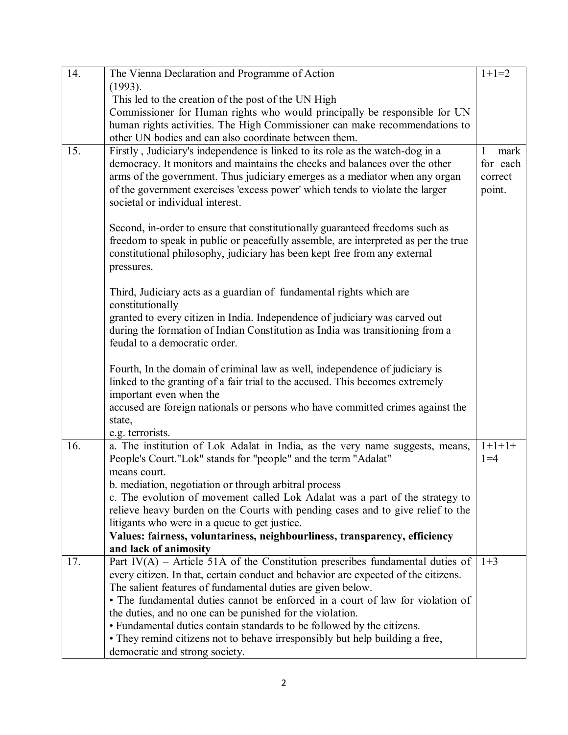| 14. | The Vienna Declaration and Programme of Action                                                                                                          | $1+1=2$              |
|-----|---------------------------------------------------------------------------------------------------------------------------------------------------------|----------------------|
|     | (1993).                                                                                                                                                 |                      |
|     | This led to the creation of the post of the UN High                                                                                                     |                      |
|     | Commissioner for Human rights who would principally be responsible for UN<br>human rights activities. The High Commissioner can make recommendations to |                      |
|     | other UN bodies and can also coordinate between them.                                                                                                   |                      |
| 15. | Firstly, Judiciary's independence is linked to its role as the watch-dog in a                                                                           | mark<br>$\mathbf{1}$ |
|     | democracy. It monitors and maintains the checks and balances over the other                                                                             | for each             |
|     | arms of the government. Thus judiciary emerges as a mediator when any organ                                                                             | correct              |
|     | of the government exercises 'excess power' which tends to violate the larger                                                                            | point.               |
|     | societal or individual interest.                                                                                                                        |                      |
|     |                                                                                                                                                         |                      |
|     | Second, in-order to ensure that constitutionally guaranteed freedoms such as                                                                            |                      |
|     | freedom to speak in public or peacefully assemble, are interpreted as per the true                                                                      |                      |
|     | constitutional philosophy, judiciary has been kept free from any external                                                                               |                      |
|     | pressures.                                                                                                                                              |                      |
|     |                                                                                                                                                         |                      |
|     | Third, Judiciary acts as a guardian of fundamental rights which are                                                                                     |                      |
|     | constitutionally                                                                                                                                        |                      |
|     | granted to every citizen in India. Independence of judiciary was carved out                                                                             |                      |
|     | during the formation of Indian Constitution as India was transitioning from a                                                                           |                      |
|     | feudal to a democratic order.                                                                                                                           |                      |
|     | Fourth, In the domain of criminal law as well, independence of judiciary is                                                                             |                      |
|     | linked to the granting of a fair trial to the accused. This becomes extremely                                                                           |                      |
|     | important even when the                                                                                                                                 |                      |
|     | accused are foreign nationals or persons who have committed crimes against the                                                                          |                      |
|     | state,                                                                                                                                                  |                      |
|     | e.g. terrorists.                                                                                                                                        |                      |
| 16. | a. The institution of Lok Adalat in India, as the very name suggests, means,                                                                            | $1+1+1+$             |
|     | People's Court."Lok" stands for "people" and the term "Adalat"                                                                                          | $1 = 4$              |
|     | means court.                                                                                                                                            |                      |
|     | b. mediation, negotiation or through arbitral process                                                                                                   |                      |
|     | c. The evolution of movement called Lok Adalat was a part of the strategy to                                                                            |                      |
|     | relieve heavy burden on the Courts with pending cases and to give relief to the                                                                         |                      |
|     | litigants who were in a queue to get justice.                                                                                                           |                      |
|     | Values: fairness, voluntariness, neighbourliness, transparency, efficiency                                                                              |                      |
|     | and lack of animosity                                                                                                                                   |                      |
| 17. | Part IV( $\overline{A}$ ) – Article 51A of the Constitution prescribes fundamental duties of                                                            | $1 + 3$              |
|     | every citizen. In that, certain conduct and behavior are expected of the citizens.                                                                      |                      |
|     | The salient features of fundamental duties are given below.                                                                                             |                      |
|     | • The fundamental duties cannot be enforced in a court of law for violation of                                                                          |                      |
|     | the duties, and no one can be punished for the violation.                                                                                               |                      |
|     | • Fundamental duties contain standards to be followed by the citizens.<br>• They remind citizens not to behave irresponsibly but help building a free,  |                      |
|     | democratic and strong society.                                                                                                                          |                      |
|     |                                                                                                                                                         |                      |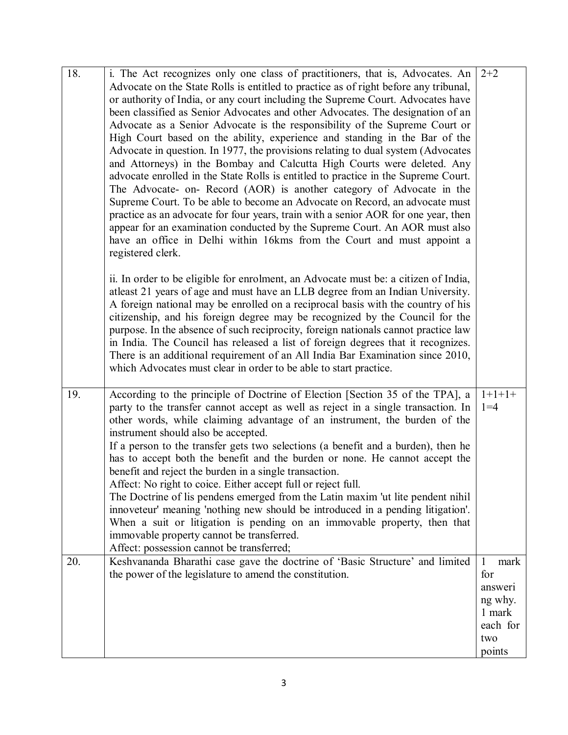| 18. | i. The Act recognizes only one class of practitioners, that is, Advocates. An                                                                       | $2+2$    |
|-----|-----------------------------------------------------------------------------------------------------------------------------------------------------|----------|
|     | Advocate on the State Rolls is entitled to practice as of right before any tribunal,                                                                |          |
|     | or authority of India, or any court including the Supreme Court. Advocates have                                                                     |          |
|     | been classified as Senior Advocates and other Advocates. The designation of an                                                                      |          |
|     | Advocate as a Senior Advocate is the responsibility of the Supreme Court or                                                                         |          |
|     | High Court based on the ability, experience and standing in the Bar of the                                                                          |          |
|     | Advocate in question. In 1977, the provisions relating to dual system (Advocates                                                                    |          |
|     | and Attorneys) in the Bombay and Calcutta High Courts were deleted. Any                                                                             |          |
|     | advocate enrolled in the State Rolls is entitled to practice in the Supreme Court.                                                                  |          |
|     | The Advocate- on- Record (AOR) is another category of Advocate in the                                                                               |          |
|     | Supreme Court. To be able to become an Advocate on Record, an advocate must                                                                         |          |
|     | practice as an advocate for four years, train with a senior AOR for one year, then                                                                  |          |
|     | appear for an examination conducted by the Supreme Court. An AOR must also                                                                          |          |
|     | have an office in Delhi within 16kms from the Court and must appoint a                                                                              |          |
|     | registered clerk.                                                                                                                                   |          |
|     |                                                                                                                                                     |          |
|     | ii. In order to be eligible for enrolment, an Advocate must be: a citizen of India,                                                                 |          |
|     | at least 21 years of age and must have an LLB degree from an Indian University.                                                                     |          |
|     | A foreign national may be enrolled on a reciprocal basis with the country of his                                                                    |          |
|     | citizenship, and his foreign degree may be recognized by the Council for the                                                                        |          |
|     | purpose. In the absence of such reciprocity, foreign nationals cannot practice law                                                                  |          |
|     | in India. The Council has released a list of foreign degrees that it recognizes.                                                                    |          |
|     | There is an additional requirement of an All India Bar Examination since 2010,<br>which Advocates must clear in order to be able to start practice. |          |
|     |                                                                                                                                                     |          |
| 19. | According to the principle of Doctrine of Election [Section 35 of the TPA], a                                                                       | $1+1+1+$ |
|     | party to the transfer cannot accept as well as reject in a single transaction. In                                                                   | $1 = 4$  |
|     | other words, while claiming advantage of an instrument, the burden of the                                                                           |          |
|     | instrument should also be accepted.                                                                                                                 |          |
|     | If a person to the transfer gets two selections (a benefit and a burden), then he                                                                   |          |
|     | has to accept both the benefit and the burden or none. He cannot accept the                                                                         |          |
|     | benefit and reject the burden in a single transaction.                                                                                              |          |
|     | Affect: No right to coice. Either accept full or reject full.                                                                                       |          |
|     | The Doctrine of lis pendens emerged from the Latin maxim 'ut lite pendent nihil                                                                     |          |
|     | innoveteur' meaning 'nothing new should be introduced in a pending litigation'.                                                                     |          |
|     | When a suit or litigation is pending on an immovable property, then that                                                                            |          |
|     | immovable property cannot be transferred.                                                                                                           |          |
|     | Affect: possession cannot be transferred;                                                                                                           |          |
| 20. | Keshvananda Bharathi case gave the doctrine of 'Basic Structure' and limited                                                                        | mark     |
|     | the power of the legislature to amend the constitution.                                                                                             | for      |
|     |                                                                                                                                                     | answeri  |
|     |                                                                                                                                                     | ng why.  |
|     |                                                                                                                                                     | 1 mark   |
|     |                                                                                                                                                     | each for |
|     |                                                                                                                                                     | two      |
|     |                                                                                                                                                     | points   |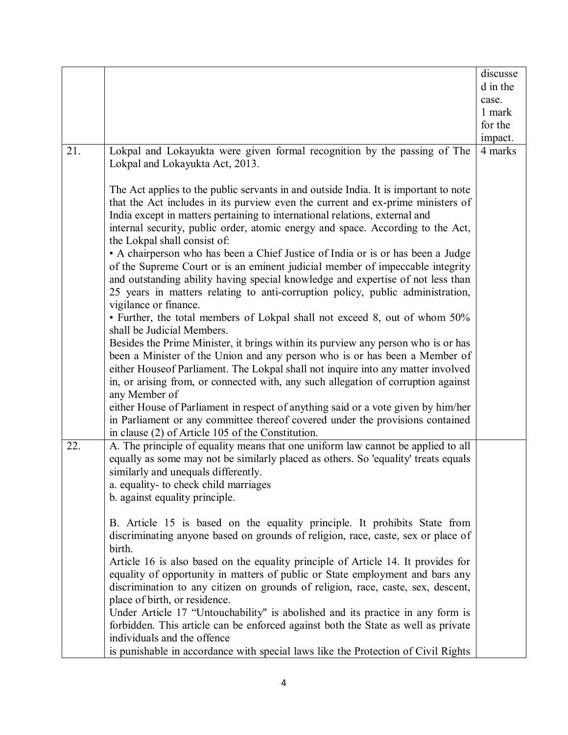|     |                                                                                                                 | discusse |
|-----|-----------------------------------------------------------------------------------------------------------------|----------|
|     |                                                                                                                 | d in the |
|     |                                                                                                                 | case.    |
|     |                                                                                                                 | 1 mark   |
|     |                                                                                                                 | for the  |
|     |                                                                                                                 | impact.  |
| 21. | Lokpal and Lokayukta were given formal recognition by the passing of The                                        | 4 marks  |
|     | Lokpal and Lokayukta Act, 2013.                                                                                 |          |
|     | The Act applies to the public servants in and outside India. It is important to note                            |          |
|     | that the Act includes in its purview even the current and ex-prime ministers of                                 |          |
|     | India except in matters pertaining to international relations, external and                                     |          |
|     | internal security, public order, atomic energy and space. According to the Act,<br>the Lokpal shall consist of: |          |
|     | • A chairperson who has been a Chief Justice of India or is or has been a Judge                                 |          |
|     | of the Supreme Court or is an eminent judicial member of impeccable integrity                                   |          |
|     | and outstanding ability having special knowledge and expertise of not less than                                 |          |
|     | 25 years in matters relating to anti-corruption policy, public administration,<br>vigilance or finance.         |          |
|     | • Further, the total members of Lokpal shall not exceed 8, out of whom 50%                                      |          |
|     | shall be Judicial Members.                                                                                      |          |
|     | Besides the Prime Minister, it brings within its purview any person who is or has                               |          |
|     | been a Minister of the Union and any person who is or has been a Member of                                      |          |
|     | either Houseof Parliament. The Lokpal shall not inquire into any matter involved                                |          |
|     | in, or arising from, or connected with, any such allegation of corruption against<br>any Member of              |          |
|     | either House of Parliament in respect of anything said or a vote given by him/her                               |          |
|     | in Parliament or any committee thereof covered under the provisions contained                                   |          |
|     | in clause (2) of Article 105 of the Constitution.                                                               |          |
| 22. | A. The principle of equality means that one uniform law cannot be applied to all                                |          |
|     | equally as some may not be similarly placed as others. So 'equality' treats equals                              |          |
|     | similarly and unequals differently.                                                                             |          |
|     | a. equality- to check child marriages                                                                           |          |
|     | b. against equality principle.                                                                                  |          |
|     | B. Article 15 is based on the equality principle. It prohibits State from                                       |          |
|     | discriminating anyone based on grounds of religion, race, caste, sex or place of                                |          |
|     | birth.                                                                                                          |          |
|     | Article 16 is also based on the equality principle of Article 14. It provides for                               |          |
|     | equality of opportunity in matters of public or State employment and bars any                                   |          |
|     | discrimination to any citizen on grounds of religion, race, caste, sex, descent,                                |          |
|     | place of birth, or residence.                                                                                   |          |
|     | Under Article 17 "Untouchability" is abolished and its practice in any form is                                  |          |
|     | forbidden. This article can be enforced against both the State as well as private                               |          |
|     | individuals and the offence                                                                                     |          |
|     | is punishable in accordance with special laws like the Protection of Civil Rights                               |          |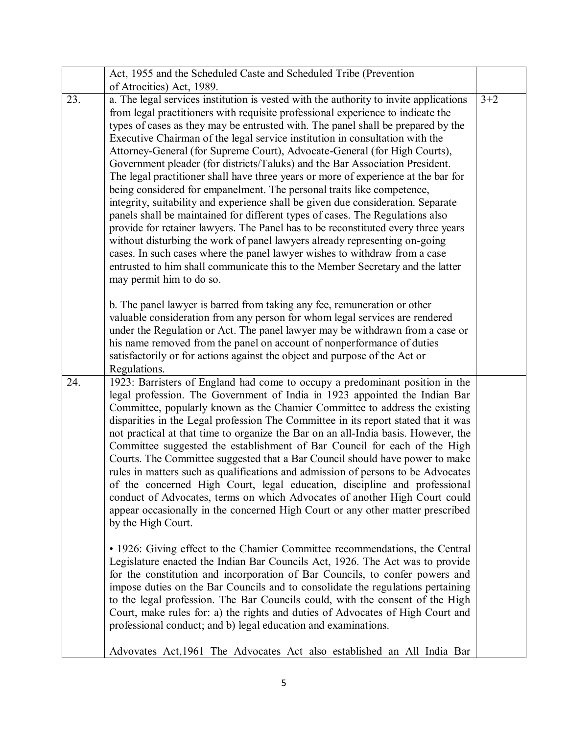|     | Act, 1955 and the Scheduled Caste and Scheduled Tribe (Prevention                                                                                                                                                                                                                                                                                                                                                                                                                                                                                                                                                                                                                                                                                                                                                                                                                                                                                                                                                                                                                                                                                                                                             |         |
|-----|---------------------------------------------------------------------------------------------------------------------------------------------------------------------------------------------------------------------------------------------------------------------------------------------------------------------------------------------------------------------------------------------------------------------------------------------------------------------------------------------------------------------------------------------------------------------------------------------------------------------------------------------------------------------------------------------------------------------------------------------------------------------------------------------------------------------------------------------------------------------------------------------------------------------------------------------------------------------------------------------------------------------------------------------------------------------------------------------------------------------------------------------------------------------------------------------------------------|---------|
|     | of Atrocities) Act, 1989.                                                                                                                                                                                                                                                                                                                                                                                                                                                                                                                                                                                                                                                                                                                                                                                                                                                                                                                                                                                                                                                                                                                                                                                     |         |
| 23. | a. The legal services institution is vested with the authority to invite applications<br>from legal practitioners with requisite professional experience to indicate the<br>types of cases as they may be entrusted with. The panel shall be prepared by the<br>Executive Chairman of the legal service institution in consultation with the<br>Attorney-General (for Supreme Court), Advocate-General (for High Courts),<br>Government pleader (for districts/Taluks) and the Bar Association President.<br>The legal practitioner shall have three years or more of experience at the bar for<br>being considered for empanelment. The personal traits like competence,<br>integrity, suitability and experience shall be given due consideration. Separate<br>panels shall be maintained for different types of cases. The Regulations also<br>provide for retainer lawyers. The Panel has to be reconstituted every three years<br>without disturbing the work of panel lawyers already representing on-going<br>cases. In such cases where the panel lawyer wishes to withdraw from a case<br>entrusted to him shall communicate this to the Member Secretary and the latter<br>may permit him to do so. | $3 + 2$ |
|     | b. The panel lawyer is barred from taking any fee, remuneration or other<br>valuable consideration from any person for whom legal services are rendered<br>under the Regulation or Act. The panel lawyer may be withdrawn from a case or<br>his name removed from the panel on account of nonperformance of duties<br>satisfactorily or for actions against the object and purpose of the Act or<br>Regulations.                                                                                                                                                                                                                                                                                                                                                                                                                                                                                                                                                                                                                                                                                                                                                                                              |         |
| 24. | 1923: Barristers of England had come to occupy a predominant position in the<br>legal profession. The Government of India in 1923 appointed the Indian Bar<br>Committee, popularly known as the Chamier Committee to address the existing<br>disparities in the Legal profession The Committee in its report stated that it was<br>not practical at that time to organize the Bar on an all-India basis. However, the<br>Committee suggested the establishment of Bar Council for each of the High<br>Courts. The Committee suggested that a Bar Council should have power to make<br>rules in matters such as qualifications and admission of persons to be Advocates<br>of the concerned High Court, legal education, discipline and professional<br>conduct of Advocates, terms on which Advocates of another High Court could<br>appear occasionally in the concerned High Court or any other matter prescribed<br>by the High Court.                                                                                                                                                                                                                                                                     |         |
|     | • 1926: Giving effect to the Chamier Committee recommendations, the Central<br>Legislature enacted the Indian Bar Councils Act, 1926. The Act was to provide<br>for the constitution and incorporation of Bar Councils, to confer powers and<br>impose duties on the Bar Councils and to consolidate the regulations pertaining<br>to the legal profession. The Bar Councils could, with the consent of the High<br>Court, make rules for: a) the rights and duties of Advocates of High Court and<br>professional conduct; and b) legal education and examinations.                                                                                                                                                                                                                                                                                                                                                                                                                                                                                                                                                                                                                                          |         |
|     | Advovates Act, 1961 The Advocates Act also established an All India Bar                                                                                                                                                                                                                                                                                                                                                                                                                                                                                                                                                                                                                                                                                                                                                                                                                                                                                                                                                                                                                                                                                                                                       |         |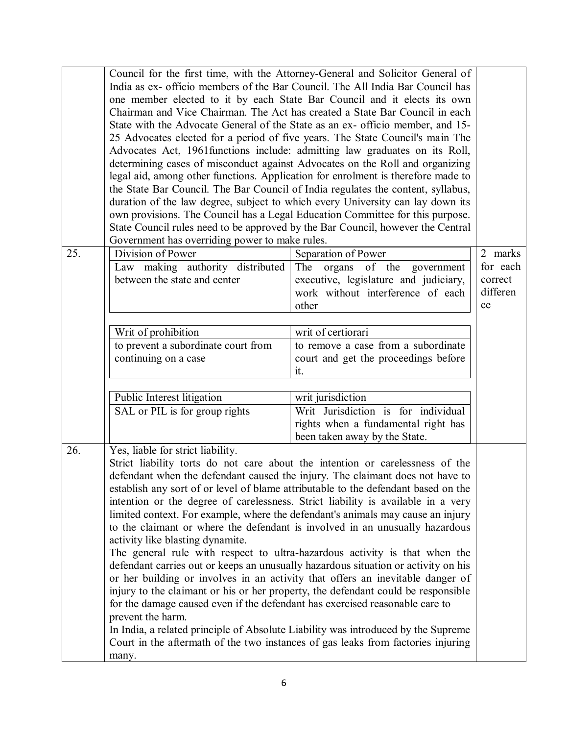|     |                                                                                                                                                         | Council for the first time, with the Attorney-General and Solicitor General of<br>India as ex- officio members of the Bar Council. The All India Bar Council has |          |
|-----|---------------------------------------------------------------------------------------------------------------------------------------------------------|------------------------------------------------------------------------------------------------------------------------------------------------------------------|----------|
|     | one member elected to it by each State Bar Council and it elects its own<br>Chairman and Vice Chairman. The Act has created a State Bar Council in each |                                                                                                                                                                  |          |
|     | State with the Advocate General of the State as an ex- officio member, and 15-                                                                          |                                                                                                                                                                  |          |
|     | 25 Advocates elected for a period of five years. The State Council's main The                                                                           |                                                                                                                                                                  |          |
|     |                                                                                                                                                         | Advocates Act, 1961 functions include: admitting law graduates on its Roll,                                                                                      |          |
|     |                                                                                                                                                         | determining cases of misconduct against Advocates on the Roll and organizing                                                                                     |          |
|     |                                                                                                                                                         | legal aid, among other functions. Application for enrolment is therefore made to                                                                                 |          |
|     | the State Bar Council. The Bar Council of India regulates the content, syllabus,                                                                        |                                                                                                                                                                  |          |
|     |                                                                                                                                                         | duration of the law degree, subject to which every University can lay down its                                                                                   |          |
|     | own provisions. The Council has a Legal Education Committee for this purpose.                                                                           |                                                                                                                                                                  |          |
|     |                                                                                                                                                         | State Council rules need to be approved by the Bar Council, however the Central                                                                                  |          |
|     | Government has overriding power to make rules.                                                                                                          |                                                                                                                                                                  |          |
| 25. | Division of Power                                                                                                                                       | Separation of Power                                                                                                                                              | 2 marks  |
|     | Law making authority distributed                                                                                                                        | The<br>organs of the government                                                                                                                                  | for each |
|     | between the state and center                                                                                                                            | executive, legislature and judiciary,                                                                                                                            | correct  |
|     |                                                                                                                                                         | work without interference of each                                                                                                                                | differen |
|     |                                                                                                                                                         | other                                                                                                                                                            | ce       |
|     |                                                                                                                                                         |                                                                                                                                                                  |          |
|     | Writ of prohibition                                                                                                                                     | writ of certiorari                                                                                                                                               |          |
|     | to prevent a subordinate court from                                                                                                                     | to remove a case from a subordinate                                                                                                                              |          |
|     | continuing on a case                                                                                                                                    | court and get the proceedings before                                                                                                                             |          |
|     |                                                                                                                                                         | it.                                                                                                                                                              |          |
|     | Public Interest litigation                                                                                                                              | writ jurisdiction                                                                                                                                                |          |
|     | SAL or PIL is for group rights                                                                                                                          | Writ Jurisdiction is for individual                                                                                                                              |          |
|     |                                                                                                                                                         | rights when a fundamental right has                                                                                                                              |          |
|     |                                                                                                                                                         | been taken away by the State.                                                                                                                                    |          |
| 26. | Yes, liable for strict liability.                                                                                                                       |                                                                                                                                                                  |          |
|     |                                                                                                                                                         | Strict liability torts do not care about the intention or carelessness of the                                                                                    |          |
|     |                                                                                                                                                         | defendant when the defendant caused the injury. The claimant does not have to                                                                                    |          |
|     |                                                                                                                                                         | establish any sort of or level of blame attributable to the defendant based on the                                                                               |          |
|     |                                                                                                                                                         | intention or the degree of carelessness. Strict liability is available in a very                                                                                 |          |
|     |                                                                                                                                                         | limited context. For example, where the defendant's animals may cause an injury                                                                                  |          |
|     |                                                                                                                                                         | to the claimant or where the defendant is involved in an unusually hazardous                                                                                     |          |
|     | activity like blasting dynamite.                                                                                                                        |                                                                                                                                                                  |          |
|     |                                                                                                                                                         | The general rule with respect to ultra-hazardous activity is that when the                                                                                       |          |
|     |                                                                                                                                                         | defendant carries out or keeps an unusually hazardous situation or activity on his                                                                               |          |
|     |                                                                                                                                                         | or her building or involves in an activity that offers an inevitable danger of                                                                                   |          |
|     | injury to the claimant or his or her property, the defendant could be responsible                                                                       |                                                                                                                                                                  |          |
|     | for the damage caused even if the defendant has exercised reasonable care to                                                                            |                                                                                                                                                                  |          |
|     | prevent the harm.                                                                                                                                       |                                                                                                                                                                  |          |
|     | In India, a related principle of Absolute Liability was introduced by the Supreme                                                                       |                                                                                                                                                                  |          |
|     |                                                                                                                                                         | Court in the aftermath of the two instances of gas leaks from factories injuring                                                                                 |          |
|     | many.                                                                                                                                                   |                                                                                                                                                                  |          |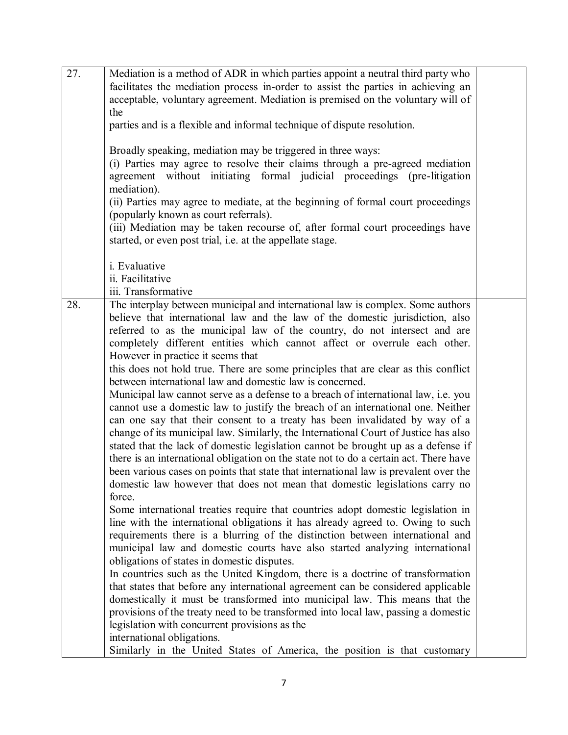| 27. | Mediation is a method of ADR in which parties appoint a neutral third party who                                            |  |
|-----|----------------------------------------------------------------------------------------------------------------------------|--|
|     | facilitates the mediation process in-order to assist the parties in achieving an                                           |  |
|     | acceptable, voluntary agreement. Mediation is premised on the voluntary will of                                            |  |
|     | the                                                                                                                        |  |
|     | parties and is a flexible and informal technique of dispute resolution.                                                    |  |
|     | Broadly speaking, mediation may be triggered in three ways:                                                                |  |
|     | (i) Parties may agree to resolve their claims through a pre-agreed mediation                                               |  |
|     | agreement without initiating formal judicial proceedings (pre-litigation                                                   |  |
|     | mediation).                                                                                                                |  |
|     | (ii) Parties may agree to mediate, at the beginning of formal court proceedings                                            |  |
|     | (popularly known as court referrals).                                                                                      |  |
|     | (iii) Mediation may be taken recourse of, after formal court proceedings have                                              |  |
|     | started, or even post trial, i.e. at the appellate stage.                                                                  |  |
|     |                                                                                                                            |  |
|     | i. Evaluative<br>ii. Facilitative                                                                                          |  |
|     | iii. Transformative                                                                                                        |  |
| 28. | The interplay between municipal and international law is complex. Some authors                                             |  |
|     | believe that international law and the law of the domestic jurisdiction, also                                              |  |
|     | referred to as the municipal law of the country, do not intersect and are                                                  |  |
|     | completely different entities which cannot affect or overrule each other.                                                  |  |
|     | However in practice it seems that                                                                                          |  |
|     | this does not hold true. There are some principles that are clear as this conflict                                         |  |
|     | between international law and domestic law is concerned.                                                                   |  |
|     | Municipal law cannot serve as a defense to a breach of international law, i.e. you                                         |  |
|     | cannot use a domestic law to justify the breach of an international one. Neither                                           |  |
|     | can one say that their consent to a treaty has been invalidated by way of a                                                |  |
|     | change of its municipal law. Similarly, the International Court of Justice has also                                        |  |
|     | stated that the lack of domestic legislation cannot be brought up as a defense if                                          |  |
|     | there is an international obligation on the state not to do a certain act. There have                                      |  |
|     | been various cases on points that state that international law is prevalent over the                                       |  |
|     | domestic law however that does not mean that domestic legislations carry no                                                |  |
|     | force.                                                                                                                     |  |
|     | Some international treaties require that countries adopt domestic legislation in                                           |  |
|     | line with the international obligations it has already agreed to. Owing to such                                            |  |
|     | requirements there is a blurring of the distinction between international and                                              |  |
|     | municipal law and domestic courts have also started analyzing international<br>obligations of states in domestic disputes. |  |
|     | In countries such as the United Kingdom, there is a doctrine of transformation                                             |  |
|     | that states that before any international agreement can be considered applicable                                           |  |
|     | domestically it must be transformed into municipal law. This means that the                                                |  |
|     | provisions of the treaty need to be transformed into local law, passing a domestic                                         |  |
|     | legislation with concurrent provisions as the                                                                              |  |
|     | international obligations.                                                                                                 |  |
|     | Similarly in the United States of America, the position is that customary                                                  |  |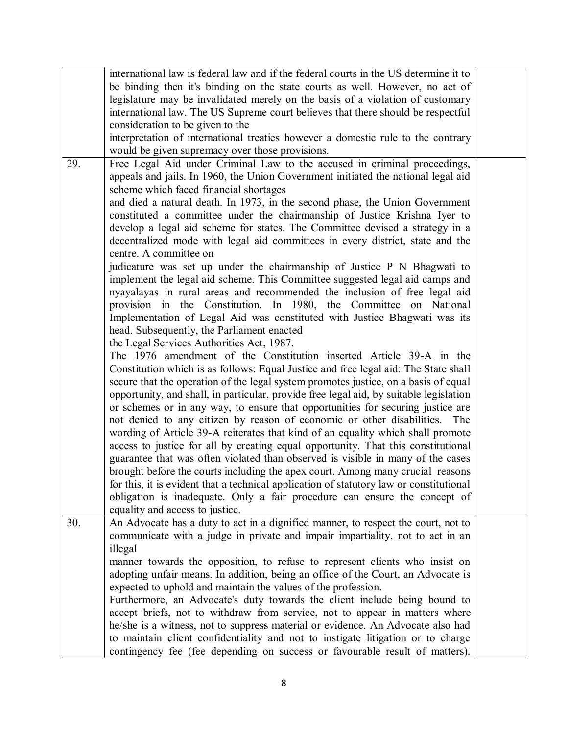|     | international law is federal law and if the federal courts in the US determine it to    |  |
|-----|-----------------------------------------------------------------------------------------|--|
|     | be binding then it's binding on the state courts as well. However, no act of            |  |
|     | legislature may be invalidated merely on the basis of a violation of customary          |  |
|     | international law. The US Supreme court believes that there should be respectful        |  |
|     | consideration to be given to the                                                        |  |
|     | interpretation of international treaties however a domestic rule to the contrary        |  |
|     | would be given supremacy over those provisions.                                         |  |
| 29. | Free Legal Aid under Criminal Law to the accused in criminal proceedings,               |  |
|     | appeals and jails. In 1960, the Union Government initiated the national legal aid       |  |
|     | scheme which faced financial shortages                                                  |  |
|     | and died a natural death. In 1973, in the second phase, the Union Government            |  |
|     | constituted a committee under the chairmanship of Justice Krishna Iyer to               |  |
|     | develop a legal aid scheme for states. The Committee devised a strategy in a            |  |
|     | decentralized mode with legal aid committees in every district, state and the           |  |
|     | centre. A committee on                                                                  |  |
|     | judicature was set up under the chairmanship of Justice P N Bhagwati to                 |  |
|     | implement the legal aid scheme. This Committee suggested legal aid camps and            |  |
|     | nyayalayas in rural areas and recommended the inclusion of free legal aid               |  |
|     | provision in the Constitution. In 1980, the Committee on National                       |  |
|     | Implementation of Legal Aid was constituted with Justice Bhagwati was its               |  |
|     | head. Subsequently, the Parliament enacted                                              |  |
|     | the Legal Services Authorities Act, 1987.                                               |  |
|     | The 1976 amendment of the Constitution inserted Article 39-A in the                     |  |
|     | Constitution which is as follows: Equal Justice and free legal aid: The State shall     |  |
|     | secure that the operation of the legal system promotes justice, on a basis of equal     |  |
|     | opportunity, and shall, in particular, provide free legal aid, by suitable legislation  |  |
|     |                                                                                         |  |
|     | or schemes or in any way, to ensure that opportunities for securing justice are         |  |
|     | not denied to any citizen by reason of economic or other disabilities. The              |  |
|     | wording of Article 39-A reiterates that kind of an equality which shall promote         |  |
|     | access to justice for all by creating equal opportunity. That this constitutional       |  |
|     | guarantee that was often violated than observed is visible in many of the cases         |  |
|     | brought before the courts including the apex court. Among many crucial reasons          |  |
|     | for this, it is evident that a technical application of statutory law or constitutional |  |
|     | obligation is inadequate. Only a fair procedure can ensure the concept of               |  |
|     | equality and access to justice.                                                         |  |
| 30. | An Advocate has a duty to act in a dignified manner, to respect the court, not to       |  |
|     | communicate with a judge in private and impair impartiality, not to act in an           |  |
|     | illegal                                                                                 |  |
|     | manner towards the opposition, to refuse to represent clients who insist on             |  |
|     | adopting unfair means. In addition, being an office of the Court, an Advocate is        |  |
|     | expected to uphold and maintain the values of the profession.                           |  |
|     | Furthermore, an Advocate's duty towards the client include being bound to               |  |
|     | accept briefs, not to withdraw from service, not to appear in matters where             |  |
|     | he/she is a witness, not to suppress material or evidence. An Advocate also had         |  |
|     | to maintain client confidentiality and not to instigate litigation or to charge         |  |
|     | contingency fee (fee depending on success or favourable result of matters).             |  |